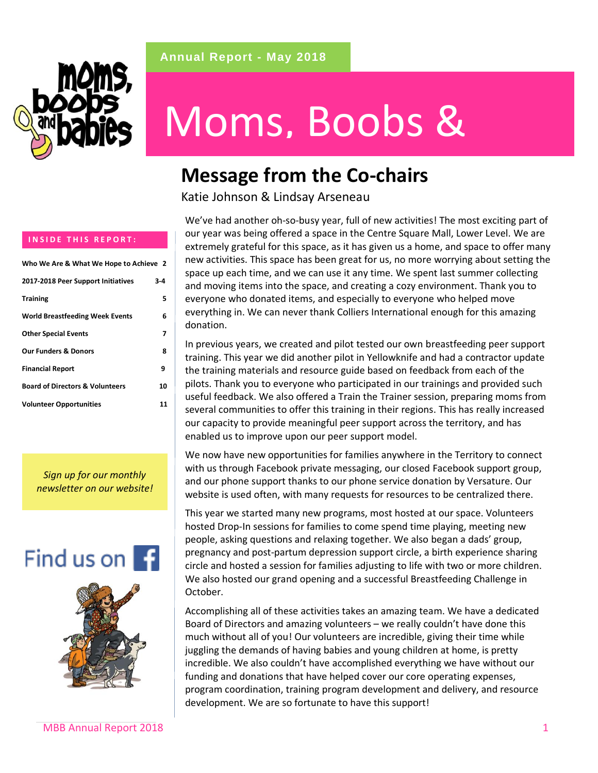



# Moms, Boobs &

### **Message from the Co-chairs**

Katie Johnson & Lindsay Arseneau

We've had another oh-so-busy year, full of new activities! The most exciting part of our year was being offered a space in the Centre Square Mall, Lower Level. We are extremely grateful for this space, as it has given us a home, and space to offer many new activities. This space has been great for us, no more worrying about setting the space up each time, and we can use it any time. We spent last summer collecting and moving items into the space, and creating a cozy environment. Thank you to everyone who donated items, and especially to everyone who helped move everything in. We can never thank Colliers International enough for this amazing donation.

In previous years, we created and pilot tested our own breastfeeding peer support training. This year we did another pilot in Yellowknife and had a contractor update the training materials and resource guide based on feedback from each of the pilots. Thank you to everyone who participated in our trainings and provided such useful feedback. We also offered a Train the Trainer session, preparing moms from several communities to offer this training in their regions. This has really increased our capacity to provide meaningful peer support across the territory, and has enabled us to improve upon our peer support model.

We now have new opportunities for families anywhere in the Territory to connect with us through Facebook private messaging, our closed Facebook support group, and our phone support thanks to our phone service donation by Versature. Our website is used often, with many requests for resources to be centralized there.

This year we started many new programs, most hosted at our space. Volunteers hosted Drop-In sessions for families to come spend time playing, meeting new people, asking questions and relaxing together. We also began a dads' group, pregnancy and post-partum depression support circle, a birth experience sharing circle and hosted a session for families adjusting to life with two or more children. We also hosted our grand opening and a successful Breastfeeding Challenge in October.

Accomplishing all of these activities takes an amazing team. We have a dedicated Board of Directors and amazing volunteers – we really couldn't have done this much without all of you! Our volunteers are incredible, giving their time while juggling the demands of having babies and young children at home, is pretty incredible. We also couldn't have accomplished everything we have without our funding and donations that have helped cover our core operating expenses, program coordination, training program development and delivery, and resource development. We are so fortunate to have this support!

#### **INSIDE THIS REPORT:**

| Who We Are & What We Hope to Achieve 2     |    |
|--------------------------------------------|----|
| 2017-2018 Peer Support Initiatives         | 34 |
| <b>Training</b>                            | 5  |
| <b>World Breastfeeding Week Events</b>     | 6  |
| <b>Other Special Events</b>                | 7  |
| <b>Our Funders &amp; Donors</b>            | 8  |
| <b>Financial Report</b>                    | 9  |
| <b>Board of Directors &amp; Volunteers</b> | 10 |
| <b>Volunteer Opportunities</b>             | 11 |

*Sign up for our monthly newsletter on our website!*



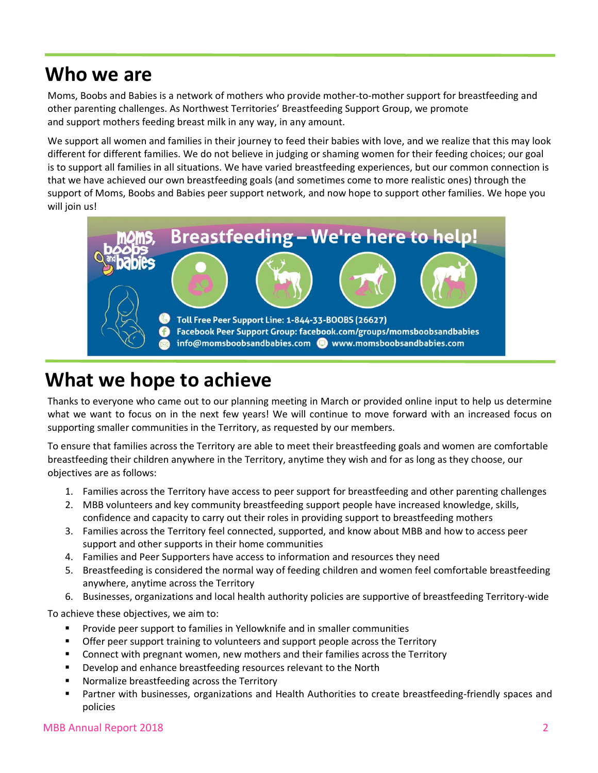### **Who we are**

Moms, Boobs and Babies is a network of mothers who provide mother-to-mother support for breastfeeding and other parenting challenges. As Northwest Territories' Breastfeeding Support Group, we promote and support mothers feeding breast milk in any way, in any amount.

We support all women and families in their journey to feed their babies with love, and we realize that this may look different for different families. We do not believe in judging or shaming women for their feeding choices; our goal is to support all families in all situations. We have varied breastfeeding experiences, but our common connection is that we have achieved our own breastfeeding goals (and sometimes come to more realistic ones) through the support of Moms, Boobs and Babies peer support network, and now hope to support other families. We hope you will join us!



### **What we hope to achieve**

Thanks to everyone who came out to our planning meeting in March or provided online input to help us determine what we want to focus on in the next few years! We will continue to move forward with an increased focus on supporting smaller communities in the Territory, as requested by our members.

To ensure that families across the Territory are able to meet their breastfeeding goals and women are comfortable breastfeeding their children anywhere in the Territory, anytime they wish and for as long as they choose, our objectives are as follows:

- 1. Families across the Territory have access to peer support for breastfeeding and other parenting challenges
- 2. MBB volunteers and key community breastfeeding support people have increased knowledge, skills, confidence and capacity to carry out their roles in providing support to breastfeeding mothers
- 3. Families across the Territory feel connected, supported, and know about MBB and how to access peer support and other supports in their home communities
- 4. Families and Peer Supporters have access to information and resources they need
- 5. Breastfeeding is considered the normal way of feeding children and women feel comfortable breastfeeding anywhere, anytime across the Territory
- 6. Businesses, organizations and local health authority policies are supportive of breastfeeding Territory-wide

To achieve these objectives, we aim to:

- Provide peer support to families in Yellowknife and in smaller communities
- Offer peer support training to volunteers and support people across the Territory
- Connect with pregnant women, new mothers and their families across the Territory
- Develop and enhance breastfeeding resources relevant to the North
- Normalize breastfeeding across the Territory
- Partner with businesses, organizations and Health Authorities to create breastfeeding-friendly spaces and policies

#### MBB Annual Report 2018 2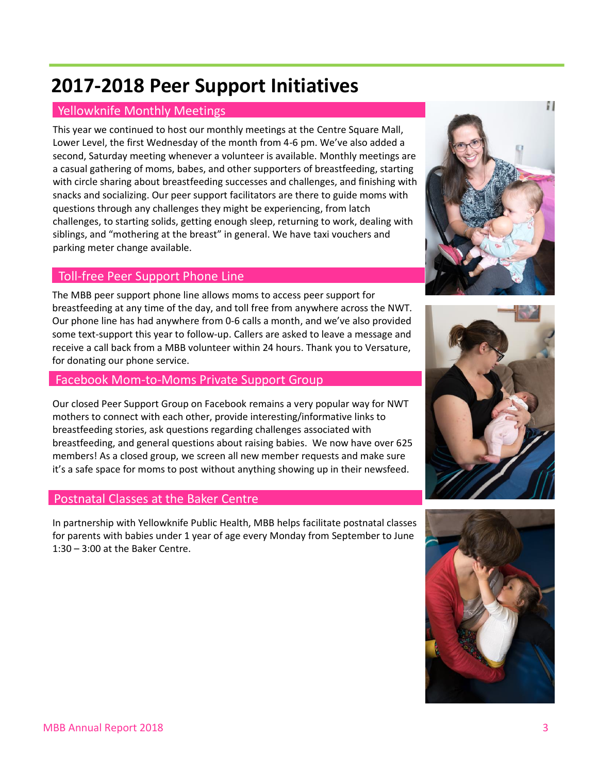### **2017-2018 Peer Support Initiatives**

#### Yellowknife Monthly Meetings

This year we continued to host our monthly meetings at the Centre Square Mall, Lower Level, the first Wednesday of the month from 4-6 pm. We've also added a EDD IS DESITE IN THE MODE IS A GREAT TO HAVE IT SO THE VEHICLE IS SUCKED ASSESSED ASSOCIATED SECOND, SATURDAY MEETING WHEN PROTO THE MODE IS AVAILABLE TO SATURD AT A SECOND ASSESSMENT ON THE MODE OF SATURDAY MEETINGS ARE a casual gathering of moms, babes, and other supporters of breastfeeding, starting a with circle sharing about breastfeeding successes and challenges, and finishing with snacks and socializing. Our peer support facilitators are there to guide moms with questions through any challenges they might be experiencing, from latch challenges, to starting solids, getting enough sleep, returning to work, dealing with siblings, and "mothering at the breast" in general. We have taxi vouchers and parking meter change available.

#### Toll-free Peer Support Phone Line

The MBB peer support phone line allows moms to access peer support for breastfeeding at any time of the day, and toll free from anywhere across the NWT. breastreeding at any time or the day, and ton nee hom any interesties are to the torn.<br>Our phone line has had anywhere from 0-6 calls a month, and we've also provided some text-support this year to follow-up. Callers are asked to leave a message and receive a call back from a MBB volunteer within 24 hours. Thank you to Versature, for donating our phone service.

#### Facebook Mom-to-Moms Private Support Group

mothers to connect with each other, provide interesting/informative links to breastfeeding stories, ask questions regarding challenges associated with Our closed Peer Support Group on Facebook remains a very popular way for NWT breastfeeding, and general questions about raising babies. We now have over 625 members! As a closed group, we screen all new member requests and make sure it's a safe space for moms to post without anything showing up in their newsfeed.

#### Postnatal Classes at the Baker Centre

for parents with babies under 1 year of age every Monday from September to June  $1:30 - 3:00$  at the Baker Centre. In partnership with Yellowknife Public Health, MBB helps facilitate postnatal classes





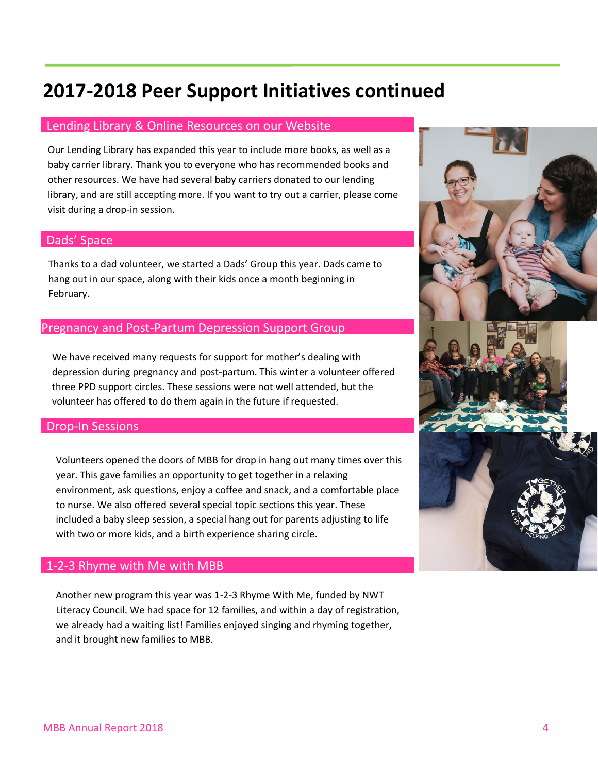### **2017-2018 Peer Support Initiatives continued**

#### Lending Library & Online Resources on our Website

baby carrier library. Thank you to everyone who has recommended books and other resources. We have had several baby carriers donated to our lending Our Lending Library has expanded this year to include more books, as well as a library, and are still accepting more. If you want to try out a carrier, please come visit during a drop-in session.

#### Dads' Space

hang out in our space, along with their kids once a month beginning in February. Thanks to a dad volunteer, we started a Dads' Group this year. Dads came to

#### Pregnancy and Post-Partum Depression Support Group

depression during pregnancy and post-partum. This winter a volunteer offered three PPD support circles. These sessions were not well attended, but the We have received many requests for support for mother's dealing with volunteer has offered to do them again in the future if requested.

#### Drop-In Sessions

Volunteers opened the doors of MBB for drop in hang out many times over this year. This gave families an opportunity to get together in a relaxing environment, ask questions, enjoy a coffee and snack, and a comfortable place to nurse. We also offered several special topic sections this year. These included a baby sleep session, a special hang out for parents adjusting to life with two or more kids, and a birth experience sharing circle.

#### 1-2-3 Rhyme with Me with MBB

Literacy Council. We had space for 12 families, and within a day of registration, we already had a waiting list! Families enjoyed singing and rhyming together, Another new program this year was 1-2-3 Rhyme With Me, funded by NWT and it brought new families to MBB.

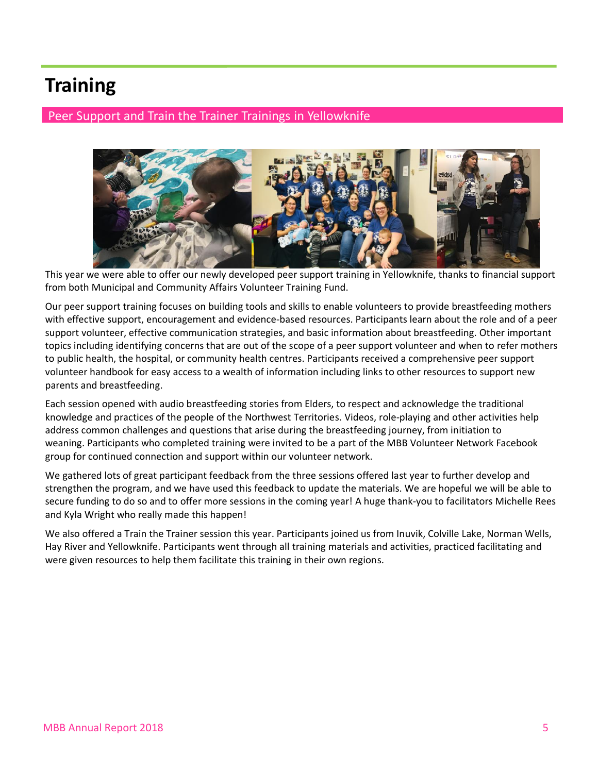### **Training**

#### Peer Support and Train the Trainer Trainings in Yellowknife



This year we were able to offer our newly developed peer support training in Yellowknife, thanks to financial support from both Municipal and Community Affairs Volunteer Training Fund.

Our peer support training focuses on building tools and skills to enable volunteers to provide breastfeeding mothers with effective support, encouragement and evidence-based resources. Participants learn about the role and of a peer support volunteer, effective communication strategies, and basic information about breastfeeding. Other important topics including identifying concerns that are out of the scope of a peer support volunteer and when to refer mothers to public health, the hospital, or community health centres. Participants received a comprehensive peer support volunteer handbook for easy access to a wealth of information including links to other resources to support new parents and breastfeeding.

Each session opened with audio breastfeeding stories from Elders, to respect and acknowledge the traditional knowledge and practices of the people of the Northwest Territories. Videos, role-playing and other activities help address common challenges and questions that arise during the breastfeeding journey, from initiation to weaning. Participants who completed training were invited to be a part of the MBB Volunteer Network Facebook group for continued connection and support within our volunteer network.

We gathered lots of great participant feedback from the three sessions offered last year to further develop and strengthen the program, and we have used this feedback to update the materials. We are hopeful we will be able to secure funding to do so and to offer more sessions in the coming year! A huge thank-you to facilitators Michelle Rees and Kyla Wright who really made this happen!

We also offered a Train the Trainer session this year. Participants joined us from Inuvik, Colville Lake, Norman Wells, Hay River and Yellowknife. Participants went through all training materials and activities, practiced facilitating and were given resources to help them facilitate this training in their own regions.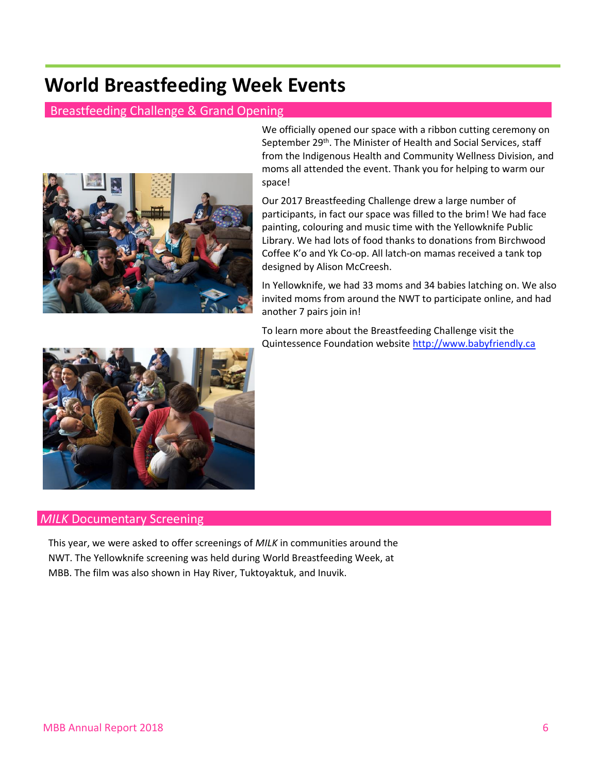### **World Breastfeeding Week Events**

#### Breastfeeding Challenge & Grand Opening



We officially opened our space with a ribbon cutting ceremony on September 29<sup>th</sup>. The Minister of Health and Social Services, staff from the Indigenous Health and Community Wellness Division, and moms all attended the event. Thank you for helping to warm our moms and events we can work on the sitate to let us know work on the sitate to let us know we can work on the sitate to let us know work on the sitate to let u space!

> Our 2017 Breastfeeding Challenge drew a large number of participants, in fact our space was filled to the brim! We had face painting, colouring and music time with the Yellowknife Public Library. We had lots of food thanks to donations from Birchwood Coffee K'o and Yk Co-op. All latch-on mamas received a tank top designed by Alison McCreesh.

In Yellowknife, we had 33 moms and 34 babies latching on. We also invited moms from around the NWT to participate online, and had another 7 pairs join in!

To learn more about the Breastfeeding Challenge visit the Quintessence Foundation websit[e http://www.babyfriendly.ca](http://www.babyfriendly.ca/)



#### *MILK* Documentary Screening

NWT. The Yellowknife screening was held during World Breastfeeding Week, at This year, we were asked to offer screenings of *MILK* in communities around the MBB. The film was also shown in Hay River, Tuktoyaktuk, and Inuvik.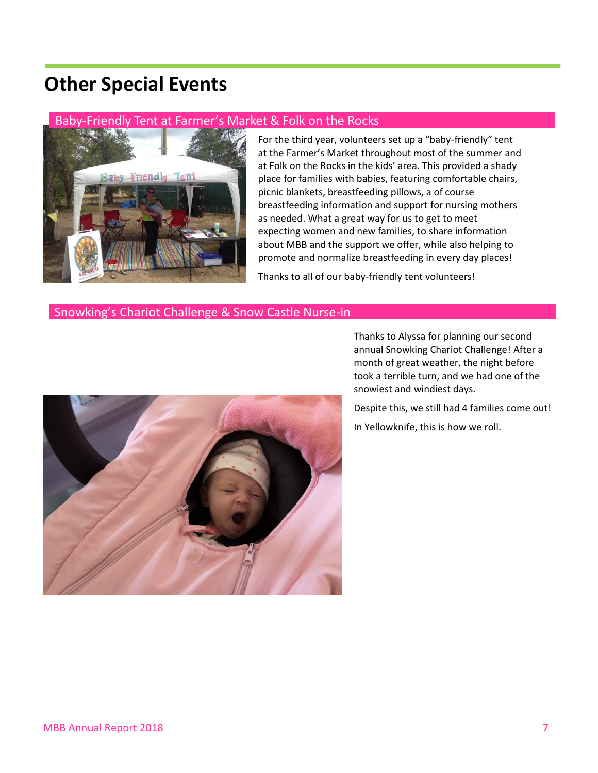### **Other Special Events**

#### Baby-Friendly Tent at Farmer's Market & Folk on the Rocks



For the third year, volunteers set up a "baby-friendly" tent at the Farmer's Market throughout most of the summer and at Folk on the Rocks in the kids' area. This provided a shady area. This provided a shady place for families with babies, featuring comfortable chairs, picnic blankets, breastfeeding pillows, a of course breastfeeding information and support for nursing mothers as needed. What a great way for us to get to meet expecting women and new families, to share information about MBB and the support we offer, while also helping to promote and normalize breastfeeding in every day places!

Thanks to all of our baby-friendly tent volunteers!

#### Snowking's Chariot Challenge & Snow Castle Nurse-in



annual Snowking Chariot Challenge! After a Thanks to Alyssa for planning our second month of great weather, the night before took a terrible turn, and we had one of the snowiest and windiest days.

> Despite this, we still had 4 families come out! In Yellowknife, this is how we roll.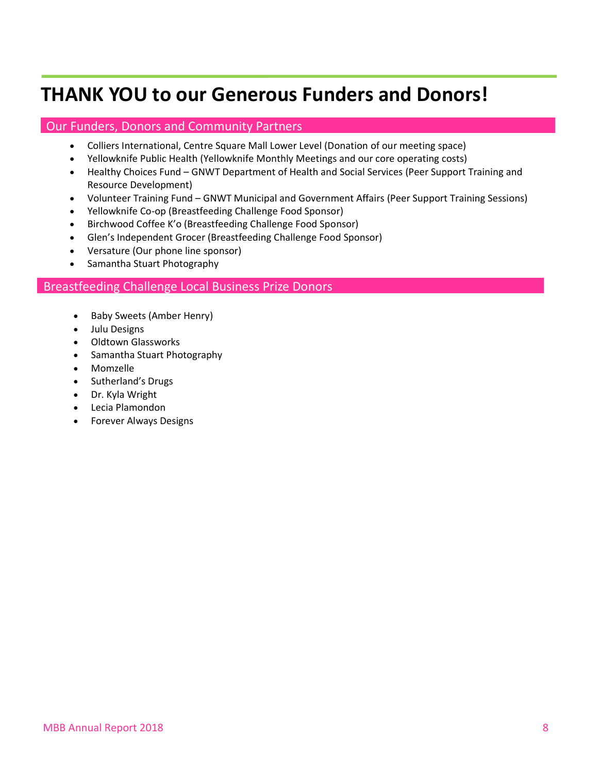### **THANK YOU to our Generous Funders and Donors!**

#### Our Funders, Donors and Community Partners

- Colliers International, Centre Square Mall Lower Level (Donation of our meeting space)
- Yellowknife Public Health (Yellowknife Monthly Meetings and our core operating costs)
- Healthy Choices Fund GNWT Department of Health and Social Services (Peer Support Training and Healthy Choices Fund GNWT Department of Health and Social Services (Peer Support Training and Resource Development)
	- Volunteer Training Fund GNWT Municipal and Government Affairs (Peer Support Training Sessions)
	- Yellowknife Co-op (Breastfeeding Challenge Food Sponsor)
	- Birchwood Coffee K'o (Breastfeeding Challenge Food Sponsor)
	- Glen's Independent Grocer (Breastfeeding Challenge Food Sponsor)
	- Versature (Our phone line sponsor)
	- Samantha Stuart Photography

#### Breastfeeding Challenge Local Business Prize Donors

- Baby Sweets (Amber Henry)
- $\bullet$  Unit Designs and events we can work on  $\bullet$  we can work on  $\bullet$  we can work on  $\bullet$  we can work on  $\bullet$  we can work on  $\bullet$  we can work on  $\bullet$  we can work on  $\bullet$  we can work on  $\bullet$  we can work on  $\bullet$  we can work • Julu Designs
	- Oldtown Glassworks
	- Samantha Stuart Photography
	- Momzelle
	- Sutherland's Drugs
	- Dr. Kyla Wright
	- Lecia Plamondon
	- Forever Always Designs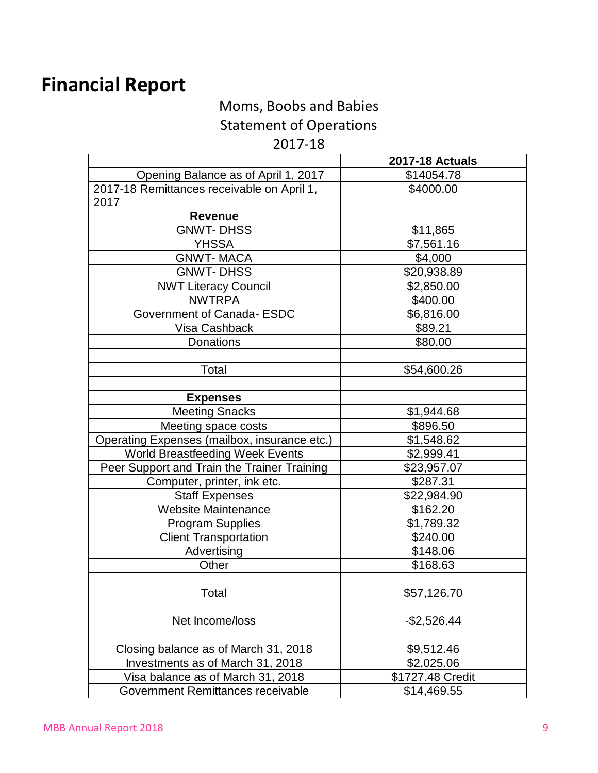# **Financial Report**

Moms, Boobs and Babies

Statement of Operations

#### 2017-18

|                                              | <b>2017-18 Actuals</b> |
|----------------------------------------------|------------------------|
| Opening Balance as of April 1, 2017          | \$14054.78             |
| 2017-18 Remittances receivable on April 1,   | \$4000.00              |
| 2017                                         |                        |
| <b>Revenue</b>                               |                        |
| <b>GNWT-DHSS</b>                             | \$11,865               |
| <b>YHSSA</b>                                 | \$7,561.16             |
| <b>GNWT-MACA</b>                             | \$4,000                |
| <b>GNWT-DHSS</b>                             | \$20,938.89            |
| <b>NWT Literacy Council</b>                  | \$2,850.00             |
| <b>NWTRPA</b>                                | \$400.00               |
| Government of Canada- ESDC                   | \$6,816.00             |
| Visa Cashback                                | \$89.21                |
| Donations                                    | \$80.00                |
|                                              |                        |
| Total                                        | \$54,600.26            |
|                                              |                        |
| <b>Expenses</b>                              |                        |
| <b>Meeting Snacks</b>                        | \$1,944.68             |
| Meeting space costs                          | \$896.50               |
| Operating Expenses (mailbox, insurance etc.) | \$1,548.62             |
| World Breastfeeding Week Events              | \$2,999.41             |
| Peer Support and Train the Trainer Training  | \$23,957.07            |
| Computer, printer, ink etc.                  | \$287.31               |
| <b>Staff Expenses</b>                        | \$22,984.90            |
| <b>Website Maintenance</b>                   | \$162.20               |
| <b>Program Supplies</b>                      | \$1,789.32             |
| <b>Client Transportation</b>                 | \$240.00               |
| Advertising                                  | \$148.06               |
| Other                                        | \$168.63               |
|                                              |                        |
| Total                                        | \$57,126.70            |
|                                              |                        |
| Net Income/loss                              | $-$2,526.44$           |
|                                              |                        |
| Closing balance as of March 31, 2018         | \$9,512.46             |
| Investments as of March 31, 2018             | \$2,025.06             |
| Visa balance as of March 31, 2018            | \$1727.48 Credit       |
| Government Remittances receivable            | \$14,469.55            |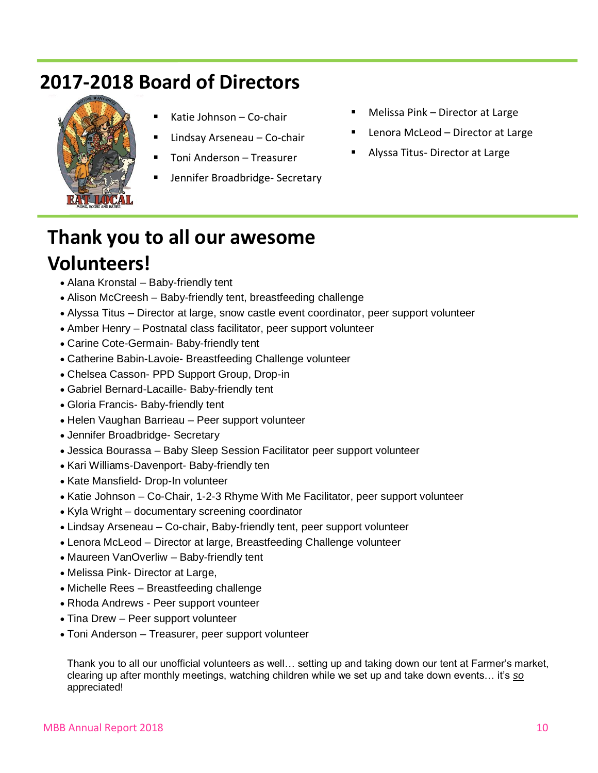## **2017-2018 Board of Directors**



- Katie Johnson Co-chair
- Lindsay Arseneau Co-chair
- Toni Anderson Treasurer
- Jennifer Broadbridge- Secretary
- Melissa Pink Director at Large
- Lenora McLeod Director at Large
- Alyssa Titus- Director at Large

### **Thank you to all our awesome Volunteers!**

- 
- Alana Kronstal Baby-friendly tent<br>• Alison McCreesh Baby-friendly tent, breastfeeding challenge
	- Alyssa Titus Director at large, snow castle event coordinator, peer support volunteer
	- Amber Henry Postnatal class facilitator, peer support volunteer
	- Carine Cote-Germain- Baby-friendly tent
	- Catherine Babin-Lavoie- Breastfeeding Challenge volunteer
	- Chelsea Casson- PPD Support Group, Drop-in
	- Gabriel Bernard-Lacaille- Baby-friendly tent
	- Gloria Francis- Baby-friendly tent
	- Helen Vaughan Barrieau Peer support volunteer
	- Jennifer Broadbridge- Secretary
	- Jessica Bourassa Baby Sleep Session Facilitator peer support volunteer
	- Kari Williams-Davenport- Baby-friendly ten
	- Kate Mansfield- Drop-In volunteer
	- Katie Johnson Co-Chair, 1-2-3 Rhyme With Me Facilitator, peer support volunteer
	- Kyla Wright documentary screening coordinator
	- Lindsay Arseneau Co-chair, Baby-friendly tent, peer support volunteer
	- Lenora McLeod Director at large, Breastfeeding Challenge volunteer
	- Maureen VanOverliw Baby-friendly tent
	- Melissa Pink- Director at Large,
	- Michelle Rees Breastfeeding challenge
	- Rhoda Andrews Peer support vounteer
	- Tina Drew Peer support volunteer
	- Toni Anderson Treasurer, peer support volunteer

Thank you to all our unofficial volunteers as well… setting up and taking down our tent at Farmer's market, clearing up after monthly meetings, watching children while we set up and take down events… it's *so* appreciated!